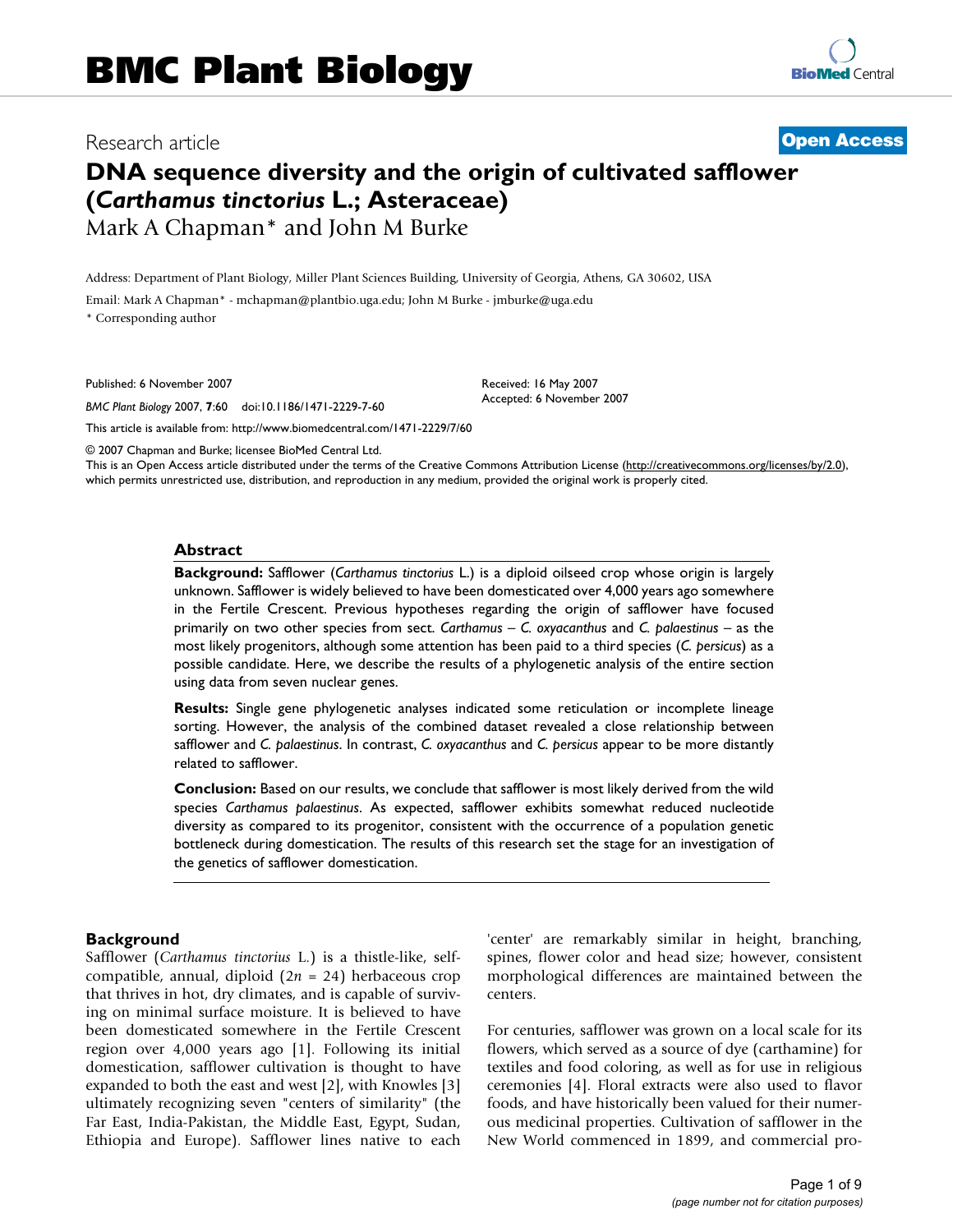# Research article **[Open Access](http://www.biomedcentral.com/info/about/charter/)**

# **DNA sequence diversity and the origin of cultivated safflower (***Carthamus tinctorius* **L.; Asteraceae)** Mark A Chapman\* and John M Burke

Address: Department of Plant Biology, Miller Plant Sciences Building, University of Georgia, Athens, GA 30602, USA

Email: Mark A Chapman\* - mchapman@plantbio.uga.edu; John M Burke - jmburke@uga.edu

\* Corresponding author

Published: 6 November 2007

*BMC Plant Biology* 2007, **7**:60 doi:10.1186/1471-2229-7-60

[This article is available from: http://www.biomedcentral.com/1471-2229/7/60](http://www.biomedcentral.com/1471-2229/7/60)

© 2007 Chapman and Burke; licensee BioMed Central Ltd.

This is an Open Access article distributed under the terms of the Creative Commons Attribution License [\(http://creativecommons.org/licenses/by/2.0\)](http://creativecommons.org/licenses/by/2.0), which permits unrestricted use, distribution, and reproduction in any medium, provided the original work is properly cited.

Received: 16 May 2007 Accepted: 6 November 2007

#### **Abstract**

**Background:** Safflower (*Carthamus tinctorius* L.) is a diploid oilseed crop whose origin is largely unknown. Safflower is widely believed to have been domesticated over 4,000 years ago somewhere in the Fertile Crescent. Previous hypotheses regarding the origin of safflower have focused primarily on two other species from sect. *Carthamus* – *C. oxyacanthus* and *C. palaestinus* – as the most likely progenitors, although some attention has been paid to a third species (*C. persicus*) as a possible candidate. Here, we describe the results of a phylogenetic analysis of the entire section using data from seven nuclear genes.

**Results:** Single gene phylogenetic analyses indicated some reticulation or incomplete lineage sorting. However, the analysis of the combined dataset revealed a close relationship between safflower and *C. palaestinus*. In contrast, *C. oxyacanthus* and *C. persicus* appear to be more distantly related to safflower.

**Conclusion:** Based on our results, we conclude that safflower is most likely derived from the wild species *Carthamus palaestinus*. As expected, safflower exhibits somewhat reduced nucleotide diversity as compared to its progenitor, consistent with the occurrence of a population genetic bottleneck during domestication. The results of this research set the stage for an investigation of the genetics of safflower domestication.

### **Background**

Safflower (*Carthamus tinctorius* L.) is a thistle-like, selfcompatible, annual, diploid (2*n* = 24) herbaceous crop that thrives in hot, dry climates, and is capable of surviving on minimal surface moisture. It is believed to have been domesticated somewhere in the Fertile Crescent region over 4,000 years ago [1]. Following its initial domestication, safflower cultivation is thought to have expanded to both the east and west [2], with Knowles [3] ultimately recognizing seven "centers of similarity" (the Far East, India-Pakistan, the Middle East, Egypt, Sudan, Ethiopia and Europe). Safflower lines native to each 'center' are remarkably similar in height, branching, spines, flower color and head size; however, consistent morphological differences are maintained between the centers.

For centuries, safflower was grown on a local scale for its flowers, which served as a source of dye (carthamine) for textiles and food coloring, as well as for use in religious ceremonies [4]. Floral extracts were also used to flavor foods, and have historically been valued for their numerous medicinal properties. Cultivation of safflower in the New World commenced in 1899, and commercial pro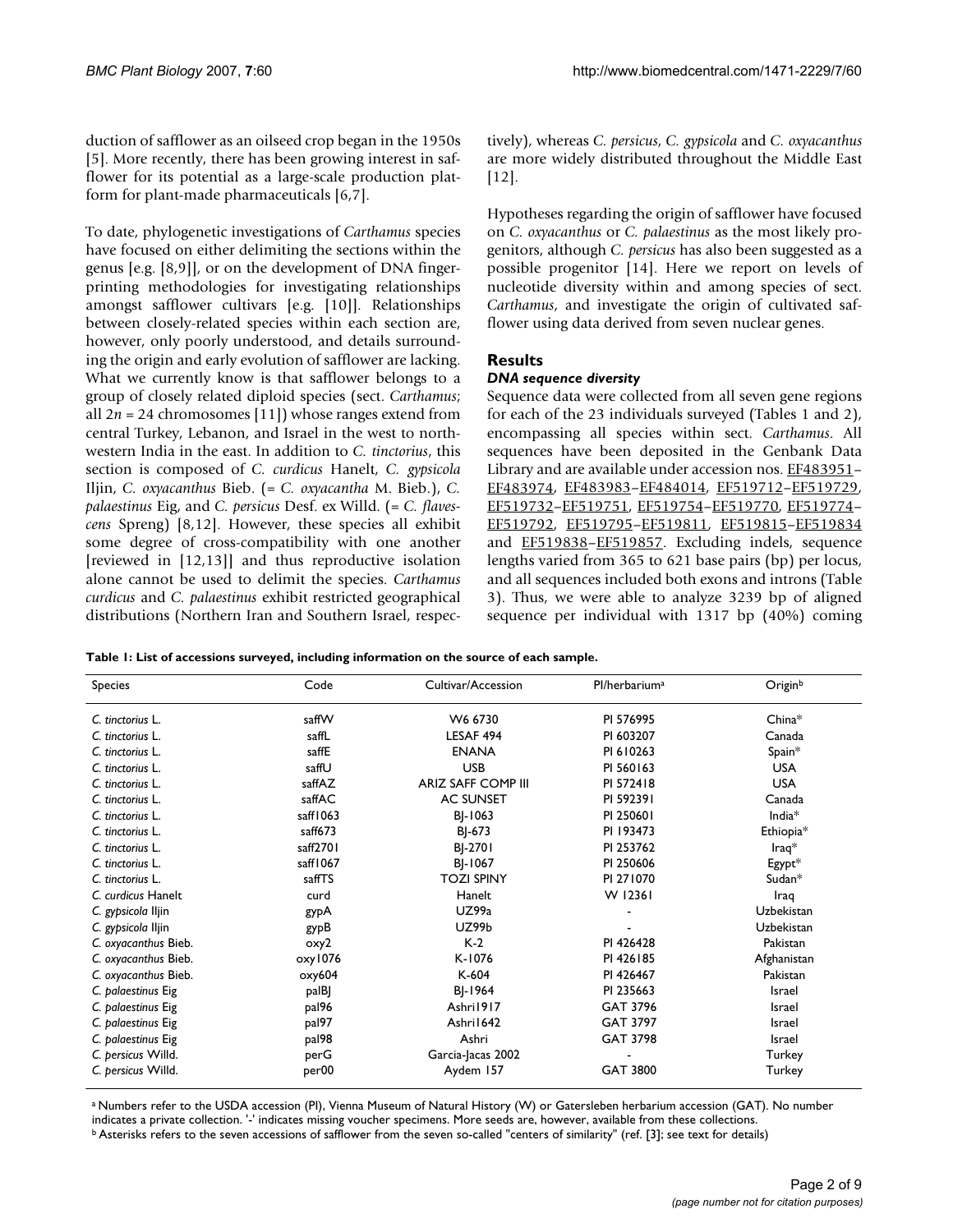duction of safflower as an oilseed crop began in the 1950s [5]. More recently, there has been growing interest in safflower for its potential as a large-scale production platform for plant-made pharmaceuticals [6,7].

To date, phylogenetic investigations of *Carthamus* species have focused on either delimiting the sections within the genus [e.g. [8,9]], or on the development of DNA fingerprinting methodologies for investigating relationships amongst safflower cultivars [e.g. [10]]. Relationships between closely-related species within each section are, however, only poorly understood, and details surrounding the origin and early evolution of safflower are lacking. What we currently know is that safflower belongs to a group of closely related diploid species (sect. *Carthamus*; all  $2n = 24$  chromosomes [11]) whose ranges extend from central Turkey, Lebanon, and Israel in the west to northwestern India in the east. In addition to *C. tinctorius*, this section is composed of *C. curdicus* Hanelt, *C. gypsicola* Iljin, *C. oxyacanthus* Bieb. (= *C. oxyacantha* M. Bieb.), *C. palaestinus* Eig, and *C. persicus* Desf. ex Willd. (= *C. flavescens* Spreng) [8,12]. However, these species all exhibit some degree of cross-compatibility with one another [reviewed in [12,13]] and thus reproductive isolation alone cannot be used to delimit the species. *Carthamus curdicus* and *C. palaestinus* exhibit restricted geographical distributions (Northern Iran and Southern Israel, respectively), whereas *C. persicus*, *C. gypsicola* and *C. oxyacanthus* are more widely distributed throughout the Middle East [12].

Hypotheses regarding the origin of safflower have focused on *C. oxyacanthus* or *C. palaestinus* as the most likely progenitors, although *C. persicus* has also been suggested as a possible progenitor [14]. Here we report on levels of nucleotide diversity within and among species of sect. *Carthamus*, and investigate the origin of cultivated safflower using data derived from seven nuclear genes.

# **Results**

## *DNA sequence diversity*

Sequence data were collected from all seven gene regions for each of the 23 individuals surveyed (Tables 1 and 2), encompassing all species within sect. *Carthamus*. All sequences have been deposited in the Genbank Data Library and are available under accession nos. EF483951-[EF483974,](http://www.ncbi.nih.gov/entrez/query.fcgi?db=Nucleotide&cmd=search&term=EF483974) [EF483983–](http://www.ncbi.nih.gov/entrez/query.fcgi?db=Nucleotide&cmd=search&term=EF483983)[EF484014,](http://www.ncbi.nih.gov/entrez/query.fcgi?db=Nucleotide&cmd=search&term=EF484014) [EF519712](http://www.ncbi.nih.gov/entrez/query.fcgi?db=Nucleotide&cmd=search&term=EF519712)–[EF519729,](http://www.ncbi.nih.gov/entrez/query.fcgi?db=Nucleotide&cmd=search&term=EF519729) [EF519732](http://www.ncbi.nih.gov/entrez/query.fcgi?db=Nucleotide&cmd=search&term=EF519732)[–EF519751](http://www.ncbi.nih.gov/entrez/query.fcgi?db=Nucleotide&cmd=search&term=EF519751), [EF519754](http://www.ncbi.nih.gov/entrez/query.fcgi?db=Nucleotide&cmd=search&term=EF519754)–[EF519770](http://www.ncbi.nih.gov/entrez/query.fcgi?db=Nucleotide&cmd=search&term=EF519770), [EF519774–](http://www.ncbi.nih.gov/entrez/query.fcgi?db=Nucleotide&cmd=search&term=EF519774) [EF519792,](http://www.ncbi.nih.gov/entrez/query.fcgi?db=Nucleotide&cmd=search&term=EF519792) [EF519795](http://www.ncbi.nih.gov/entrez/query.fcgi?db=Nucleotide&cmd=search&term=EF519795)[–EF519811,](http://www.ncbi.nih.gov/entrez/query.fcgi?db=Nucleotide&cmd=search&term=EF519811) [EF519815](http://www.ncbi.nih.gov/entrez/query.fcgi?db=Nucleotide&cmd=search&term=EF519815)[–EF519834](http://www.ncbi.nih.gov/entrez/query.fcgi?db=Nucleotide&cmd=search&term=EF519834) and [EF519838](http://www.ncbi.nih.gov/entrez/query.fcgi?db=Nucleotide&cmd=search&term=EF519838)[–EF519857](http://www.ncbi.nih.gov/entrez/query.fcgi?db=Nucleotide&cmd=search&term=EF519857). Excluding indels, sequence lengths varied from 365 to 621 base pairs (bp) per locus, and all sequences included both exons and introns (Table 3). Thus, we were able to analyze 3239 bp of aligned sequence per individual with 1317 bp (40%) coming

**Table 1: List of accessions surveyed, including information on the source of each sample.**

| <b>Species</b>       | Code              | Cultivar/Accession        | Pl/herbarium <sup>a</sup> | Originb               |
|----------------------|-------------------|---------------------------|---------------------------|-----------------------|
| C. tinctorius L.     | saffW             | W6 6730                   | PI 576995                 | $China*$              |
| C. tinctorius L.     | saffL             | LESAF 494                 | PI 603207                 | Canada                |
| C. tinctorius L.     | saffE             | <b>ENANA</b>              | PI 610263                 | Spain*                |
| C. tinctorius L.     | saffU             | <b>USB</b>                | PI 560163                 | <b>USA</b>            |
| C. tinctorius L.     | saffAZ            | <b>ARIZ SAFF COMP III</b> | PI 572418                 | <b>USA</b>            |
| C. tinctorius L.     | saffAC            | <b>AC SUNSET</b>          | PI 592391                 | Canada                |
| C. tinctorius L.     | saff1063          | BJ-1063                   | PI 250601                 | India <sup>*</sup>    |
| C. tinctorius L.     | saff673           | BJ-673                    | PI 193473                 | Ethiopia*             |
| C. tinctorius L.     | saff2701          | BJ-2701                   | PI 253762                 | $\mathsf{I}$ raq $^*$ |
| C. tinctorius L.     | saff1067          | BJ-1067                   | PI 250606                 | Egypt*                |
| C. tinctorius L.     | saffTS            | <b>TOZI SPINY</b>         | PI 271070                 | Sudan*                |
| C. curdicus Hanelt   | curd              | Hanelt                    | W 12361                   | Iraq                  |
| C. gypsicola Iljin   | gypA              | UZ99a                     |                           | Uzbekistan            |
| C. gypsicola Iljin   | gypB              | <b>UZ99b</b>              |                           | Uzbekistan            |
| C. oxyacanthus Bieb. | oxy2              | $K-2$                     | PI 426428                 | Pakistan              |
| C. oxyacanthus Bieb. | oxy1076           | K-1076                    | PI 426185                 | Afghanistan           |
| C. oxyacanthus Bieb. | oxy604            | $K-604$                   | PI 426467                 | Pakistan              |
| C. palaestinus Eig   | palBJ             | BJ-1964                   | PI 235663                 | <b>Israel</b>         |
| C. palaestinus Eig   | pal96             | Ashri1917                 | GAT 3796                  | <b>Israel</b>         |
| C. palaestinus Eig   | pal97             | Ashri1642                 | GAT 3797                  | <b>Israel</b>         |
| C. palaestinus Eig   | pal98             | Ashri                     | GAT 3798                  | <b>Israel</b>         |
| C. persicus Willd.   | perG              | Garcia-Jacas 2002         |                           | Turkey                |
| C. persicus Willd.   | per <sub>00</sub> | Aydem 157                 | GAT 3800                  | Turkey                |

a Numbers refer to the USDA accession (PI), Vienna Museum of Natural History (W) or Gatersleben herbarium accession (GAT). No number indicates a private collection. '-' indicates missing voucher specimens. More seeds are, however, available from these collections.

b Asterisks refers to the seven accessions of safflower from the seven so-called "centers of similarity" (ref. [3]; see text for details)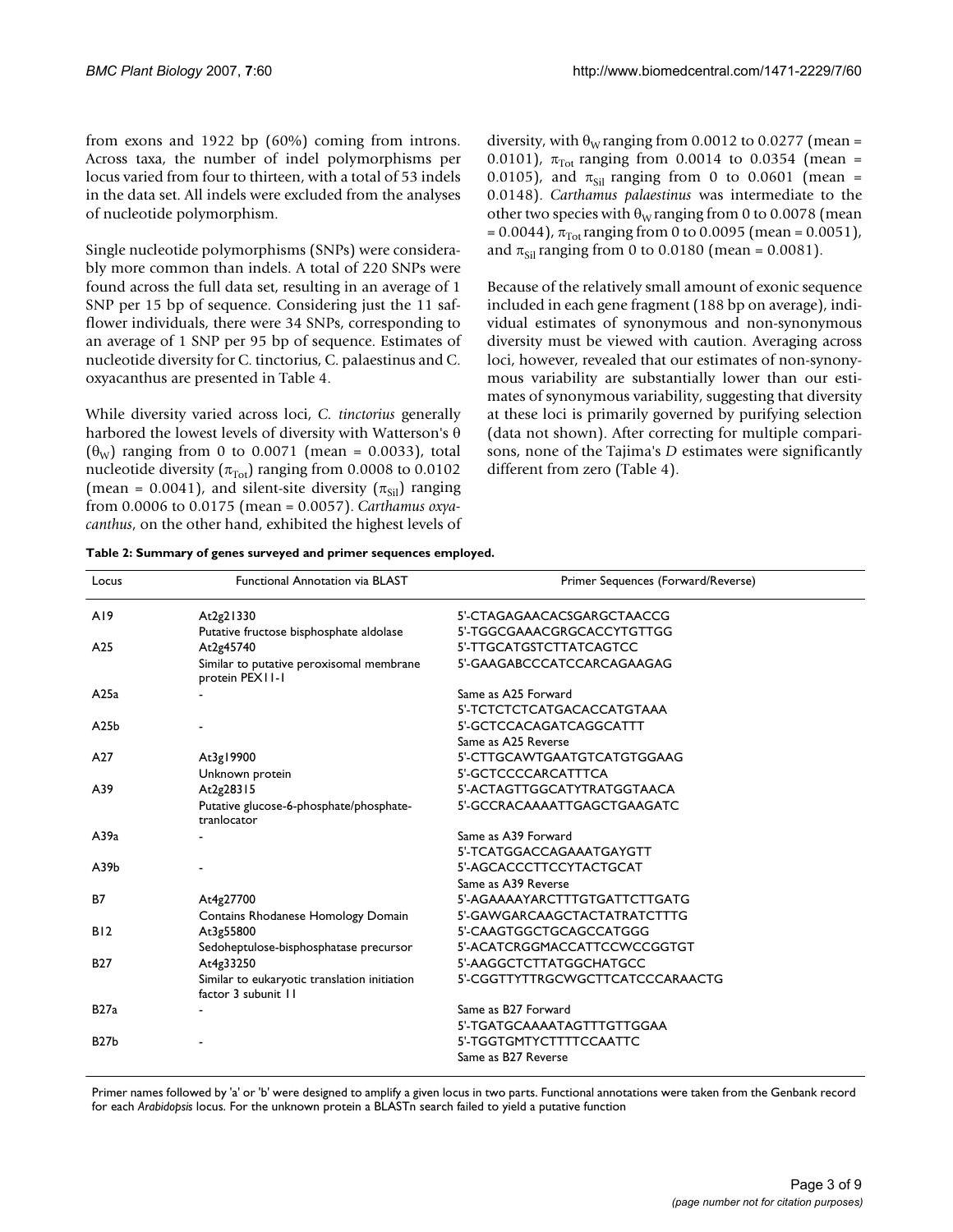from exons and 1922 bp (60%) coming from introns. Across taxa, the number of indel polymorphisms per locus varied from four to thirteen, with a total of 53 indels in the data set. All indels were excluded from the analyses of nucleotide polymorphism.

Single nucleotide polymorphisms (SNPs) were considerably more common than indels. A total of 220 SNPs were found across the full data set, resulting in an average of 1 SNP per 15 bp of sequence. Considering just the 11 safflower individuals, there were 34 SNPs, corresponding to an average of 1 SNP per 95 bp of sequence. Estimates of nucleotide diversity for C. tinctorius, C. palaestinus and C. oxyacanthus are presented in Table 4.

While diversity varied across loci, *C. tinctorius* generally harbored the lowest levels of diversity with Watterson's θ  $(\theta_{\rm W})$  ranging from 0 to 0.0071 (mean = 0.0033), total nucleotide diversity ( $\pi_{\text{Tot}}$ ) ranging from 0.0008 to 0.0102 (mean = 0.0041), and silent-site diversity ( $\pi_{\text{Si}}$ ) ranging from 0.0006 to 0.0175 (mean = 0.0057). *Carthamus oxyacanthus*, on the other hand, exhibited the highest levels of diversity, with  $\theta_{\rm W}$  ranging from 0.0012 to 0.0277 (mean = 0.0101),  $\pi_{\text{Tot}}$  ranging from 0.0014 to 0.0354 (mean = 0.0105), and  $\pi_{\text{Sil}}$  ranging from 0 to 0.0601 (mean = 0.0148). *Carthamus palaestinus* was intermediate to the other two species with  $\theta_{\rm W}$  ranging from 0 to 0.0078 (mean  $= 0.0044$ ),  $\pi_{\text{Tot}}$  ranging from 0 to 0.0095 (mean = 0.0051), and  $\pi_{\text{Sil}}$  ranging from 0 to 0.0180 (mean = 0.0081).

Because of the relatively small amount of exonic sequence included in each gene fragment (188 bp on average), individual estimates of synonymous and non-synonymous diversity must be viewed with caution. Averaging across loci, however, revealed that our estimates of non-synonymous variability are substantially lower than our estimates of synonymous variability, suggesting that diversity at these loci is primarily governed by purifying selection (data not shown). After correcting for multiple comparisons, none of the Tajima's *D* estimates were significantly different from zero (Table 4).

| Table 2: Summary of genes surveyed and primer sequences employed. |  |
|-------------------------------------------------------------------|--|
|-------------------------------------------------------------------|--|

| Locus           | <b>Functional Annotation via BLAST</b>                              | Primer Sequences (Forward/Reverse) |  |
|-----------------|---------------------------------------------------------------------|------------------------------------|--|
| A19             | At2g21330                                                           | 5'-CTAGAGAACACSGARGCTAACCG         |  |
|                 | Putative fructose bisphosphate aldolase                             | 5'-TGGCGAAACGRGCACCYTGTTGG         |  |
| A <sub>25</sub> | At2g45740                                                           | 5'-TTGCATGSTCTTATCAGTCC            |  |
|                 | Similar to putative peroxisomal membrane<br>protein PEXII-I         | 5'-GAAGABCCCATCCARCAGAAGAG         |  |
| A25a            |                                                                     | Same as A25 Forward                |  |
|                 |                                                                     | 5'-TCTCTCTCATGACACCATGTAAA         |  |
| A25b            |                                                                     | 5'-GCTCCACAGATCAGGCATTT            |  |
|                 |                                                                     | Same as A25 Reverse                |  |
| A27             | At3g19900                                                           | 5'-CTTGCAWTGAATGTCATGTGGAAG        |  |
|                 | Unknown protein                                                     | 5'-GCTCCCCARCATTTCA                |  |
| A39             | At2g28315                                                           | 5'-ACTAGTTGGCATYTRATGGTAACA        |  |
|                 | Putative glucose-6-phosphate/phosphate-<br>tranlocator              | 5'-GCCRACAAAATTGAGCTGAAGATC        |  |
| A39a            |                                                                     | Same as A39 Forward                |  |
|                 |                                                                     | 5'-TCATGGACCAGAAATGAYGTT           |  |
| A39b            |                                                                     | 5'-AGCACCCTTCCYTACTGCAT            |  |
|                 |                                                                     | Same as A39 Reverse                |  |
| <b>B7</b>       | At4g27700                                                           | 5'-AGAAAAYARCTTTGTGATTCTTGATG      |  |
|                 | Contains Rhodanese Homology Domain                                  | 5'-GAWGARCAAGCTACTATRATCTTTG       |  |
| B12             | At3g55800                                                           | 5'-CAAGTGGCTGCAGCCATGGG            |  |
|                 | Sedoheptulose-bisphosphatase precursor                              | 5'-ACATCRGGMACCATTCCWCCGGTGT       |  |
| <b>B27</b>      | At4g33250                                                           | 5'-AAGGCTCTTATGGCHATGCC            |  |
|                 | Similar to eukaryotic translation initiation<br>factor 3 subunit 11 | 5'-CGGTTYTTRGCWGCTTCATCCCARAACTG   |  |
| <b>B27a</b>     |                                                                     | Same as B27 Forward                |  |
|                 |                                                                     | 5'-TGATGCAAAATAGTTTGTTGGAA         |  |
| <b>B27b</b>     |                                                                     | 5'-TGGTGMTYCTTTTCCAATTC            |  |
|                 |                                                                     | Same as B27 Reverse                |  |

Primer names followed by 'a' or 'b' were designed to amplify a given locus in two parts. Functional annotations were taken from the Genbank record for each *Arabidopsis* locus. For the unknown protein a BLASTn search failed to yield a putative function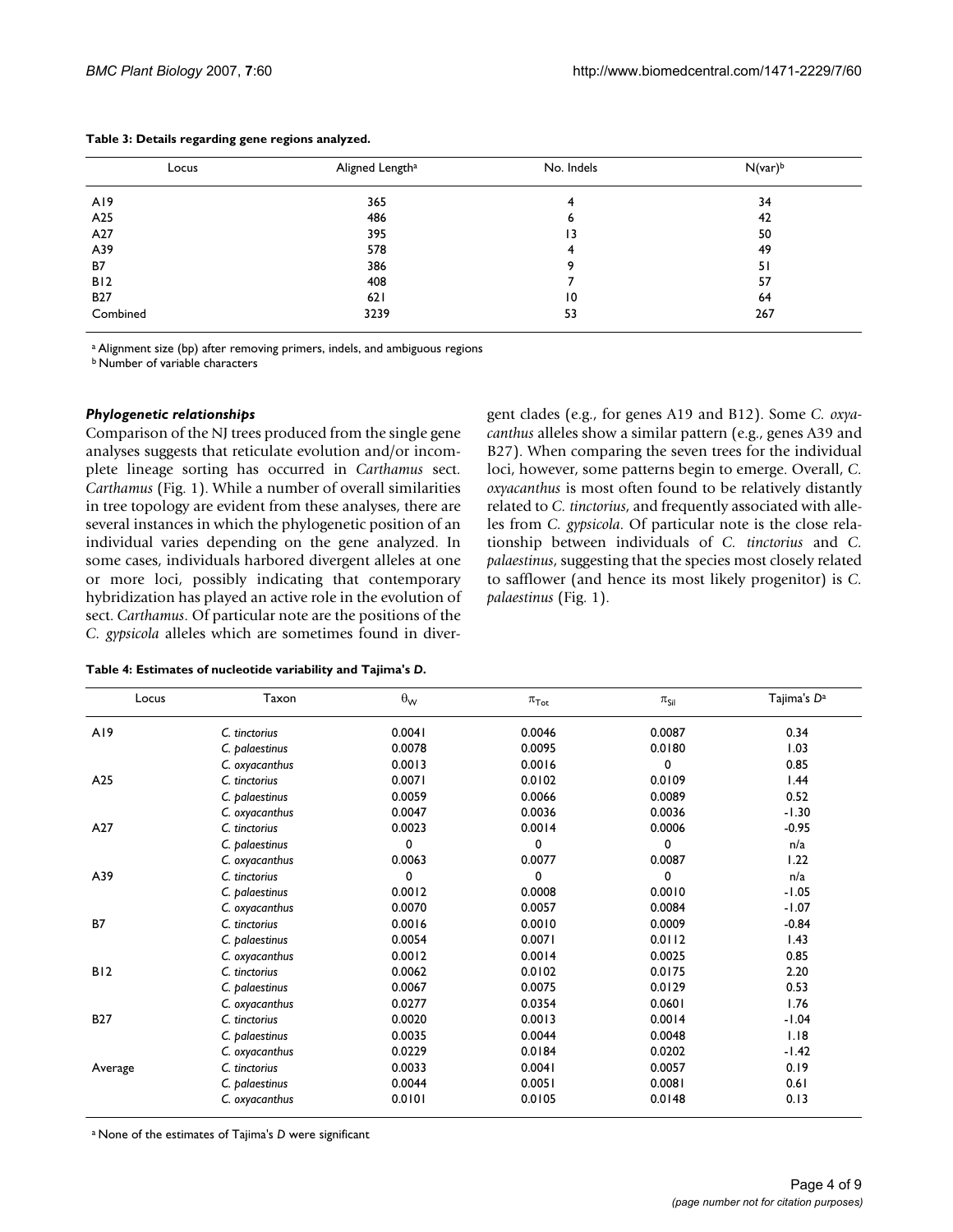| Locus           | Aligned Length <sup>a</sup> | No. Indels      | $N$ (var) <sup>b</sup> |
|-----------------|-----------------------------|-----------------|------------------------|
|                 |                             |                 |                        |
| A19             | 365                         | 4               | 34                     |
| A <sub>25</sub> | 486                         | 6               | 42                     |
| A27             | 395                         | 13              | 50                     |
| A39             | 578                         | 4               | 49                     |
| <b>B7</b>       | 386                         | 9               | 51                     |
| B12             | 408                         |                 | 57                     |
| <b>B27</b>      | 621                         | $\overline{10}$ | 64                     |
| Combined        | 3239                        | 53              | 267                    |

#### **Table 3: Details regarding gene regions analyzed.**

a Alignment size (bp) after removing primers, indels, and ambiguous regions

b Number of variable characters

## *Phylogenetic relationships*

Comparison of the NJ trees produced from the single gene analyses suggests that reticulate evolution and/or incomplete lineage sorting has occurred in *Carthamus* sect. *Carthamus* (Fig. 1). While a number of overall similarities in tree topology are evident from these analyses, there are several instances in which the phylogenetic position of an individual varies depending on the gene analyzed. In some cases, individuals harbored divergent alleles at one or more loci, possibly indicating that contemporary hybridization has played an active role in the evolution of sect. *Carthamus*. Of particular note are the positions of the *C. gypsicola* alleles which are sometimes found in divergent clades (e.g., for genes A19 and B12). Some *C. oxyacanthus* alleles show a similar pattern (e.g., genes A39 and B27). When comparing the seven trees for the individual loci, however, some patterns begin to emerge. Overall, *C. oxyacanthus* is most often found to be relatively distantly related to *C. tinctorius*, and frequently associated with alleles from *C. gypsicola*. Of particular note is the close relationship between individuals of *C. tinctorius* and *C. palaestinus*, suggesting that the species most closely related to safflower (and hence its most likely progenitor) is *C. palaestinus* (Fig. 1).

| Locus      | Taxon          | $\theta_{\mathsf{W}}$ | $\pi_{\operatorname{\mathsf{Tot}}}$ | $\pi_{\mathsf{Sil}}$ | Tajima's D <sup>a</sup> |
|------------|----------------|-----------------------|-------------------------------------|----------------------|-------------------------|
| A19        | C. tinctorius  | 0.0041                | 0.0046                              | 0.0087               | 0.34                    |
|            | C. palaestinus | 0.0078                | 0.0095                              | 0.0180               | 1.03                    |
|            | C. oxyacanthus | 0.0013                | 0.0016                              | $\mathbf 0$          | 0.85                    |
| A25        | C. tinctorius  | 0.0071                | 0.0102                              | 0.0109               | 1.44                    |
|            | C. palaestinus | 0.0059                | 0.0066                              | 0.0089               | 0.52                    |
|            | C. oxyacanthus | 0.0047                | 0.0036                              | 0.0036               | $-1.30$                 |
| A27        | C. tinctorius  | 0.0023                | 0.0014                              | 0.0006               | $-0.95$                 |
|            | C. palaestinus | 0                     | 0                                   | $\mathbf 0$          | n/a                     |
|            | C. oxyacanthus | 0.0063                | 0.0077                              | 0.0087               | 1.22                    |
| A39        | C. tinctorius  | 0                     | 0                                   | $\Omega$             | n/a                     |
|            | C. palaestinus | 0.0012                | 0.0008                              | 0.0010               | $-1.05$                 |
|            | C. oxyacanthus | 0.0070                | 0.0057                              | 0.0084               | $-1.07$                 |
| <b>B7</b>  | C. tinctorius  | 0.0016                | 0.0010                              | 0.0009               | $-0.84$                 |
|            | C. palaestinus | 0.0054                | 0.0071                              | 0.0112               | 1.43                    |
|            | C. oxyacanthus | 0.0012                | 0.0014                              | 0.0025               | 0.85                    |
| B12        | C. tinctorius  | 0.0062                | 0.0102                              | 0.0175               | 2.20                    |
|            | C. palaestinus | 0.0067                | 0.0075                              | 0.0129               | 0.53                    |
|            | C. oxyacanthus | 0.0277                | 0.0354                              | 0.0601               | 1.76                    |
| <b>B27</b> | C. tinctorius  | 0.0020                | 0.0013                              | 0.0014               | $-1.04$                 |
|            | C. palaestinus | 0.0035                | 0.0044                              | 0.0048               | 1.18                    |
|            | C. oxyacanthus | 0.0229                | 0.0184                              | 0.0202               | $-1.42$                 |
| Average    | C. tinctorius  | 0.0033                | 0.0041                              | 0.0057               | 0.19                    |
|            | C. palaestinus | 0.0044                | 0.0051                              | 0.0081               | 0.61                    |
|            | C. oxyacanthus | 0.0101                | 0.0105                              | 0.0148               | 0.13                    |

a None of the estimates of Tajima's *D* were significant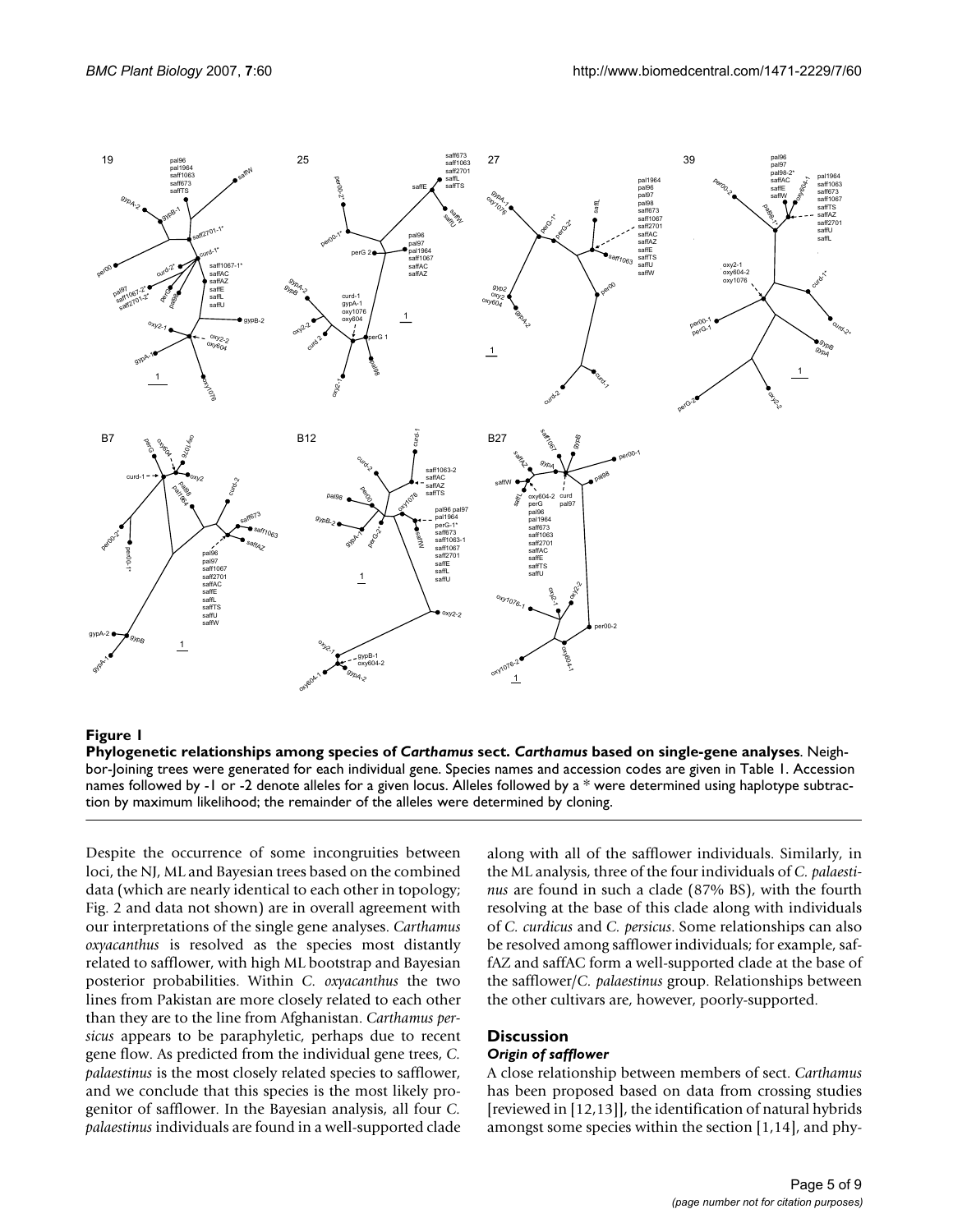

#### Phylogenetic relationships among species of **Figure 1** *Carthamus* sect. *Carthamus* based on single-gene analyses

**Phylogenetic relationships among species of** *Carthamus* **sect.** *Carthamus* **based on single-gene analyses**. Neighbor-Joining trees were generated for each individual gene. Species names and accession codes are given in Table 1. Accession names followed by -1 or -2 denote alleles for a given locus. Alleles followed by a \* were determined using haplotype subtraction by maximum likelihood; the remainder of the alleles were determined by cloning.

Despite the occurrence of some incongruities between loci, the NJ, ML and Bayesian trees based on the combined data (which are nearly identical to each other in topology; Fig. 2 and data not shown) are in overall agreement with our interpretations of the single gene analyses. *Carthamus oxyacanthus* is resolved as the species most distantly related to safflower, with high ML bootstrap and Bayesian posterior probabilities. Within *C. oxyacanthus* the two lines from Pakistan are more closely related to each other than they are to the line from Afghanistan. *Carthamus persicus* appears to be paraphyletic, perhaps due to recent gene flow. As predicted from the individual gene trees, *C. palaestinus* is the most closely related species to safflower, and we conclude that this species is the most likely progenitor of safflower. In the Bayesian analysis, all four *C. palaestinus* individuals are found in a well-supported clade along with all of the safflower individuals. Similarly, in the ML analysis, three of the four individuals of *C. palaestinus* are found in such a clade (87% BS), with the fourth resolving at the base of this clade along with individuals of *C. curdicus* and *C. persicus*. Some relationships can also be resolved among safflower individuals; for example, saffAZ and saffAC form a well-supported clade at the base of the safflower/*C. palaestinus* group. Relationships between the other cultivars are, however, poorly-supported.

# **Discussion**

#### *Origin of safflower*

A close relationship between members of sect. *Carthamus* has been proposed based on data from crossing studies [reviewed in [12,13]], the identification of natural hybrids amongst some species within the section [1,14], and phy-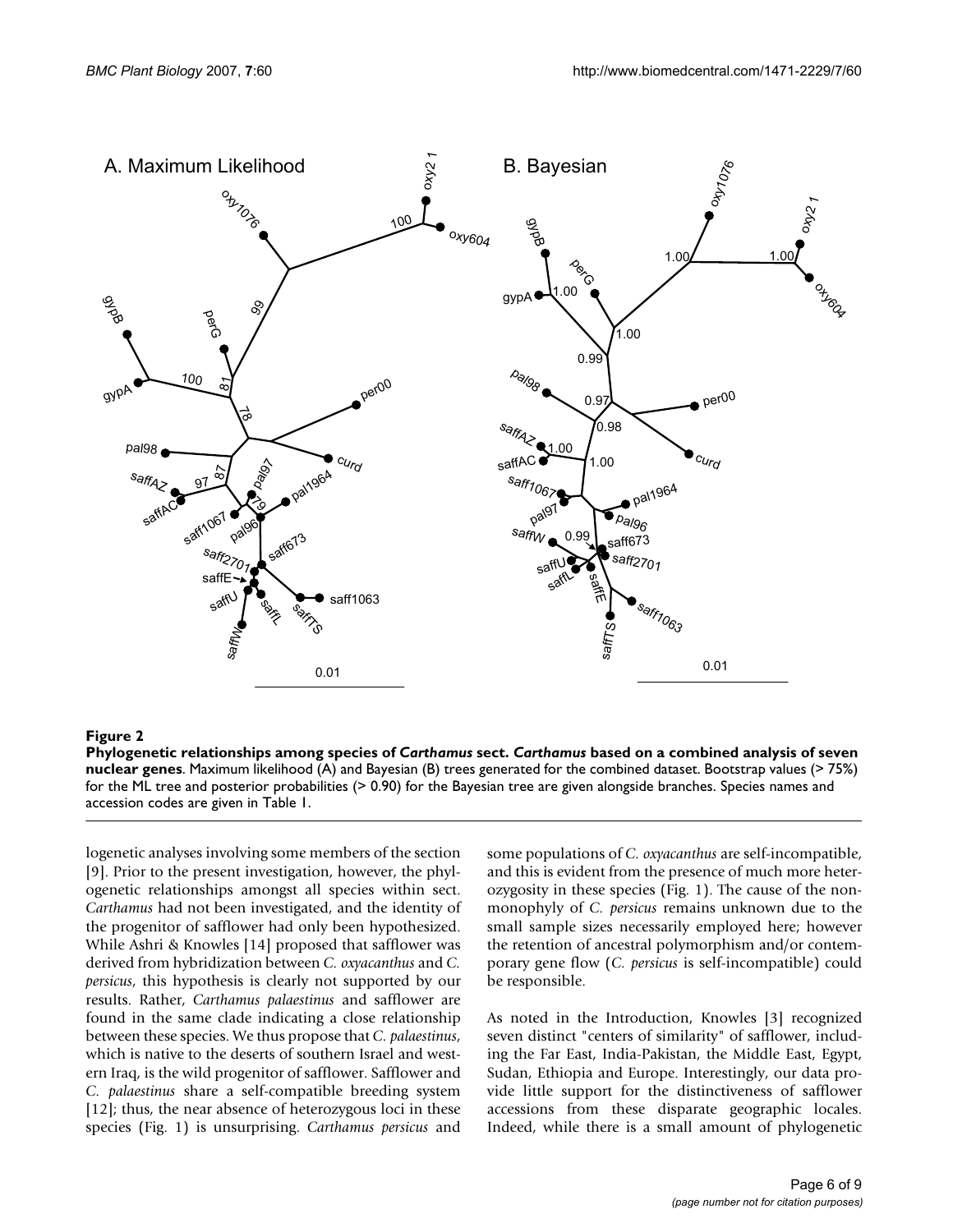

# Phylogenetic relationships among species of **Figure 2** *Carthamus* sect. *Carthamus* based on a combined analysis of seven nuclear genes

**Phylogenetic relationships among species of** *Carthamus* **sect.** *Carthamus* **based on a combined analysis of seven nuclear genes**. Maximum likelihood (A) and Bayesian (B) trees generated for the combined dataset. Bootstrap values (> 75%) for the ML tree and posterior probabilities (> 0.90) for the Bayesian tree are given alongside branches. Species names and accession codes are given in Table 1.

logenetic analyses involving some members of the section [9]. Prior to the present investigation, however, the phylogenetic relationships amongst all species within sect. *Carthamus* had not been investigated, and the identity of the progenitor of safflower had only been hypothesized. While Ashri & Knowles [14] proposed that safflower was derived from hybridization between *C. oxyacanthus* and *C. persicus*, this hypothesis is clearly not supported by our results. Rather, *Carthamus palaestinus* and safflower are found in the same clade indicating a close relationship between these species. We thus propose that *C. palaestinus*, which is native to the deserts of southern Israel and western Iraq, is the wild progenitor of safflower. Safflower and *C. palaestinus* share a self-compatible breeding system [12]; thus, the near absence of heterozygous loci in these species (Fig. 1) is unsurprising. *Carthamus persicus* and

some populations of *C. oxyacanthus* are self-incompatible, and this is evident from the presence of much more heterozygosity in these species (Fig. 1). The cause of the nonmonophyly of *C. persicus* remains unknown due to the small sample sizes necessarily employed here; however the retention of ancestral polymorphism and/or contemporary gene flow (*C. persicus* is self-incompatible) could be responsible.

As noted in the Introduction, Knowles [3] recognized seven distinct "centers of similarity" of safflower, including the Far East, India-Pakistan, the Middle East, Egypt, Sudan, Ethiopia and Europe. Interestingly, our data provide little support for the distinctiveness of safflower accessions from these disparate geographic locales. Indeed, while there is a small amount of phylogenetic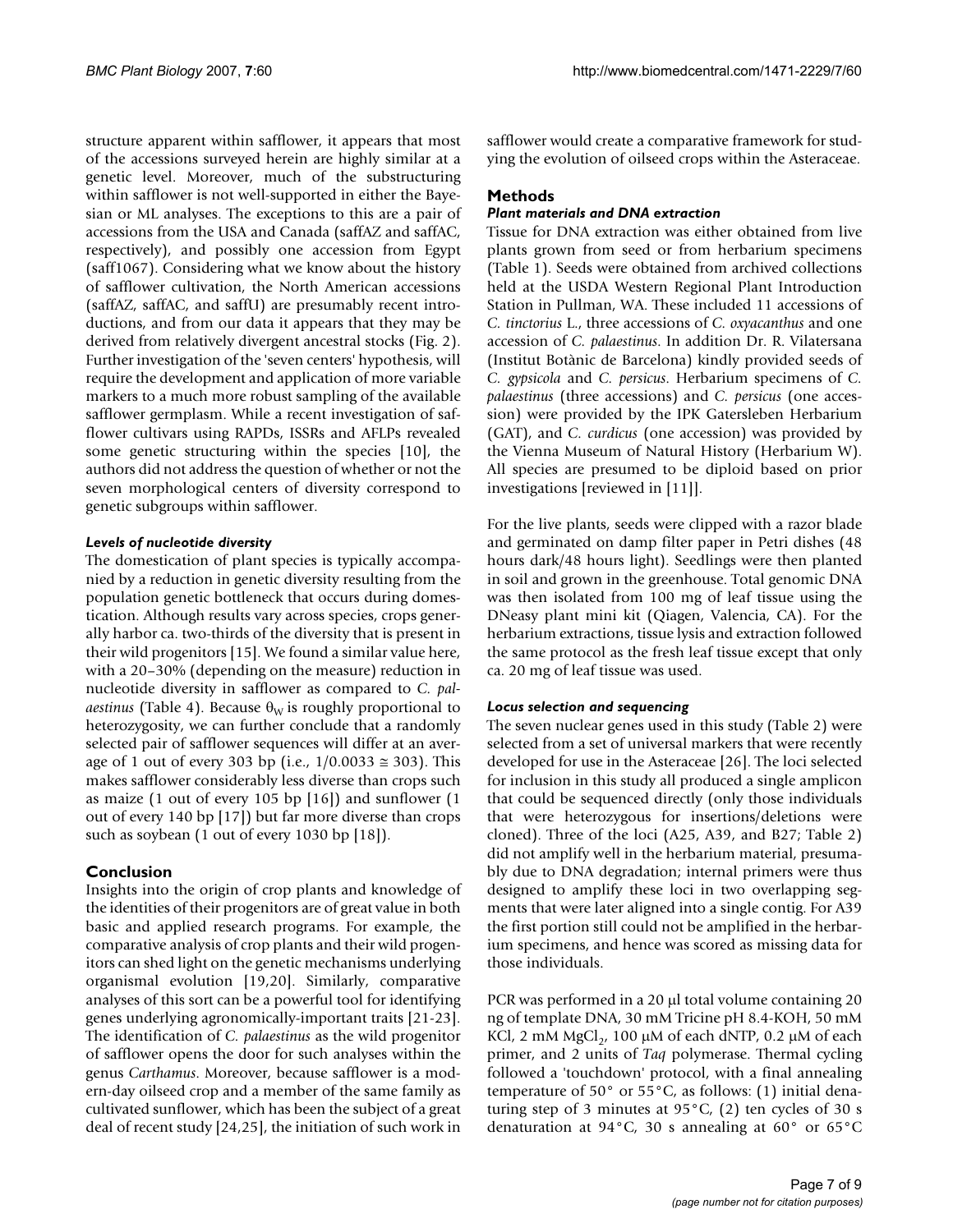structure apparent within safflower, it appears that most of the accessions surveyed herein are highly similar at a genetic level. Moreover, much of the substructuring within safflower is not well-supported in either the Bayesian or ML analyses. The exceptions to this are a pair of accessions from the USA and Canada (saffAZ and saffAC, respectively), and possibly one accession from Egypt (saff1067). Considering what we know about the history of safflower cultivation, the North American accessions (saffAZ, saffAC, and saffU) are presumably recent introductions, and from our data it appears that they may be derived from relatively divergent ancestral stocks (Fig. 2). Further investigation of the 'seven centers' hypothesis, will require the development and application of more variable markers to a much more robust sampling of the available safflower germplasm. While a recent investigation of safflower cultivars using RAPDs, ISSRs and AFLPs revealed some genetic structuring within the species [10], the authors did not address the question of whether or not the seven morphological centers of diversity correspond to genetic subgroups within safflower.

# *Levels of nucleotide diversity*

The domestication of plant species is typically accompanied by a reduction in genetic diversity resulting from the population genetic bottleneck that occurs during domestication. Although results vary across species, crops generally harbor ca. two-thirds of the diversity that is present in their wild progenitors [15]. We found a similar value here, with a 20–30% (depending on the measure) reduction in nucleotide diversity in safflower as compared to *C. palaestinus* (Table 4). Because  $\theta_W$  is roughly proportional to heterozygosity, we can further conclude that a randomly selected pair of safflower sequences will differ at an average of 1 out of every 303 bp (i.e.,  $1/0.0033 ≅ 303$ ). This makes safflower considerably less diverse than crops such as maize (1 out of every 105 bp [16]) and sunflower (1 out of every 140 bp [17]) but far more diverse than crops such as soybean (1 out of every 1030 bp [18]).

# **Conclusion**

Insights into the origin of crop plants and knowledge of the identities of their progenitors are of great value in both basic and applied research programs. For example, the comparative analysis of crop plants and their wild progenitors can shed light on the genetic mechanisms underlying organismal evolution [19,20]. Similarly, comparative analyses of this sort can be a powerful tool for identifying genes underlying agronomically-important traits [21-23]. The identification of *C. palaestinus* as the wild progenitor of safflower opens the door for such analyses within the genus *Carthamus*. Moreover, because safflower is a modern-day oilseed crop and a member of the same family as cultivated sunflower, which has been the subject of a great deal of recent study [24,25], the initiation of such work in

safflower would create a comparative framework for studying the evolution of oilseed crops within the Asteraceae.

# **Methods**

# *Plant materials and DNA extraction*

Tissue for DNA extraction was either obtained from live plants grown from seed or from herbarium specimens (Table 1). Seeds were obtained from archived collections held at the USDA Western Regional Plant Introduction Station in Pullman, WA. These included 11 accessions of *C. tinctorius* L., three accessions of *C. oxyacanthus* and one accession of *C. palaestinus*. In addition Dr. R. Vilatersana (Institut Botànic de Barcelona) kindly provided seeds of *C. gypsicola* and *C. persicus*. Herbarium specimens of *C. palaestinus* (three accessions) and *C. persicus* (one accession) were provided by the IPK Gatersleben Herbarium (GAT), and *C. curdicus* (one accession) was provided by the Vienna Museum of Natural History (Herbarium W). All species are presumed to be diploid based on prior investigations [reviewed in [11]].

For the live plants, seeds were clipped with a razor blade and germinated on damp filter paper in Petri dishes (48 hours dark/48 hours light). Seedlings were then planted in soil and grown in the greenhouse. Total genomic DNA was then isolated from 100 mg of leaf tissue using the DNeasy plant mini kit (Qiagen, Valencia, CA). For the herbarium extractions, tissue lysis and extraction followed the same protocol as the fresh leaf tissue except that only ca. 20 mg of leaf tissue was used.

# *Locus selection and sequencing*

The seven nuclear genes used in this study (Table 2) were selected from a set of universal markers that were recently developed for use in the Asteraceae [26]. The loci selected for inclusion in this study all produced a single amplicon that could be sequenced directly (only those individuals that were heterozygous for insertions/deletions were cloned). Three of the loci (A25, A39, and B27; Table 2) did not amplify well in the herbarium material, presumably due to DNA degradation; internal primers were thus designed to amplify these loci in two overlapping segments that were later aligned into a single contig. For A39 the first portion still could not be amplified in the herbarium specimens, and hence was scored as missing data for those individuals.

PCR was performed in a 20 µl total volume containing 20 ng of template DNA, 30 mM Tricine pH 8.4-KOH, 50 mM KCl, 2 mM  $MgCl<sub>2</sub>$ , 100 µM of each dNTP, 0.2 µM of each primer, and 2 units of *Taq* polymerase. Thermal cycling followed a 'touchdown' protocol, with a final annealing temperature of 50° or 55°C, as follows: (1) initial denaturing step of 3 minutes at 95°C, (2) ten cycles of 30 s denaturation at 94°C, 30 s annealing at 60° or 65°C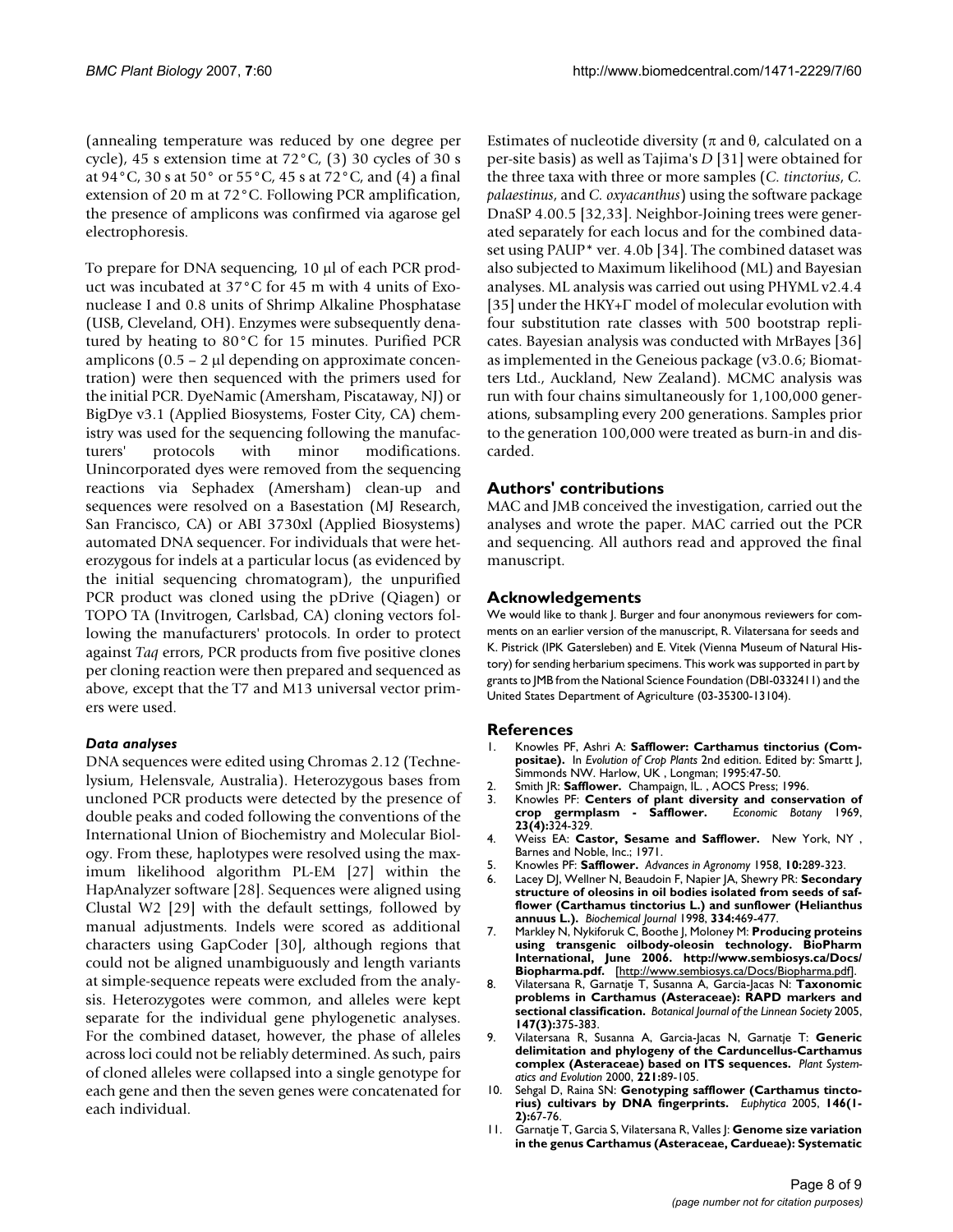(annealing temperature was reduced by one degree per cycle), 45 s extension time at 72°C, (3) 30 cycles of 30 s at 94°C, 30 s at 50° or 55°C, 45 s at 72°C, and (4) a final extension of 20 m at 72°C. Following PCR amplification, the presence of amplicons was confirmed via agarose gel electrophoresis.

To prepare for DNA sequencing, 10 µl of each PCR product was incubated at 37°C for 45 m with 4 units of Exonuclease I and 0.8 units of Shrimp Alkaline Phosphatase (USB, Cleveland, OH). Enzymes were subsequently denatured by heating to 80°C for 15 minutes. Purified PCR amplicons  $(0.5 - 2 \mu)$  depending on approximate concentration) were then sequenced with the primers used for the initial PCR. DyeNamic (Amersham, Piscataway, NJ) or BigDye v3.1 (Applied Biosystems, Foster City, CA) chemistry was used for the sequencing following the manufacturers' protocols with minor modifications. Unincorporated dyes were removed from the sequencing reactions via Sephadex (Amersham) clean-up and sequences were resolved on a Basestation (MJ Research, San Francisco, CA) or ABI 3730xl (Applied Biosystems) automated DNA sequencer. For individuals that were heterozygous for indels at a particular locus (as evidenced by the initial sequencing chromatogram), the unpurified PCR product was cloned using the pDrive (Qiagen) or TOPO TA (Invitrogen, Carlsbad, CA) cloning vectors following the manufacturers' protocols. In order to protect against *Taq* errors, PCR products from five positive clones per cloning reaction were then prepared and sequenced as above, except that the T7 and M13 universal vector primers were used.

# *Data analyses*

DNA sequences were edited using Chromas 2.12 (Technelysium, Helensvale, Australia). Heterozygous bases from uncloned PCR products were detected by the presence of double peaks and coded following the conventions of the International Union of Biochemistry and Molecular Biology. From these, haplotypes were resolved using the maximum likelihood algorithm PL-EM [27] within the HapAnalyzer software [28]. Sequences were aligned using Clustal W2 [29] with the default settings, followed by manual adjustments. Indels were scored as additional characters using GapCoder [30], although regions that could not be aligned unambiguously and length variants at simple-sequence repeats were excluded from the analysis. Heterozygotes were common, and alleles were kept separate for the individual gene phylogenetic analyses. For the combined dataset, however, the phase of alleles across loci could not be reliably determined. As such, pairs of cloned alleles were collapsed into a single genotype for each gene and then the seven genes were concatenated for each individual.

Estimates of nucleotide diversity ( $\pi$  and θ, calculated on a per-site basis) as well as Tajima's *D* [31] were obtained for the three taxa with three or more samples (*C. tinctorius*, *C. palaestinus*, and *C. oxyacanthus*) using the software package DnaSP 4.00.5 [32,33]. Neighbor-Joining trees were generated separately for each locus and for the combined dataset using PAUP\* ver. 4.0b [34]. The combined dataset was also subjected to Maximum likelihood (ML) and Bayesian analyses. ML analysis was carried out using PHYML v2.4.4 [35] under the HKY+Γ model of molecular evolution with four substitution rate classes with 500 bootstrap replicates. Bayesian analysis was conducted with MrBayes [36] as implemented in the Geneious package (v3.0.6; Biomatters Ltd., Auckland, New Zealand). MCMC analysis was run with four chains simultaneously for 1,100,000 generations, subsampling every 200 generations. Samples prior to the generation 100,000 were treated as burn-in and discarded.

# **Authors' contributions**

MAC and JMB conceived the investigation, carried out the analyses and wrote the paper. MAC carried out the PCR and sequencing. All authors read and approved the final manuscript.

## **Acknowledgements**

We would like to thank J. Burger and four anonymous reviewers for comments on an earlier version of the manuscript, R. Vilatersana for seeds and K. Pistrick (IPK Gatersleben) and E. Vitek (Vienna Museum of Natural History) for sending herbarium specimens. This work was supported in part by grants to JMB from the National Science Foundation (DBI-0332411) and the United States Department of Agriculture (03-35300-13104).

# **References**

- 1. Knowles PF, Ashri A: **Safflower: Carthamus tinctorius (Compositae).** In *Evolution of Crop Plants* 2nd edition. Edited by: Smartt J, Simmonds NW. Harlow, UK<sup>'</sup>, Longman; 1995:47-50.
- 2. Smith JR: **Safflower.** Champaign, IL., AOCS Press; 1996.<br>3. Knowles PF: **Centers of plant diversity and conser**
- Knowles PF: **Centers of plant diversity and conservation of crop** germplasm Safflower. Economic Botany 1969, crop germplasm - Safflower. **23(4):**324-329.
- 4. Weiss EA: **Castor, Sesame and Safflower.** New York, NY , Barnes and Noble, Inc.; 1971.
- 5. Knowles PF: **Safflower.** *Advances in Agronomy* 1958, **10:**289-323.
- 6. Lacey DJ, Wellner N, Beaudoin F, Napier JA, Shewry PR: **[Secondary](http://www.ncbi.nlm.nih.gov/entrez/query.fcgi?cmd=Retrieve&db=PubMed&dopt=Abstract&list_uids=9716507) structure of oleosins in oil bodies isolated from seeds of saf[flower \(Carthamus tinctorius L.\) and sunflower \(Helianthus](http://www.ncbi.nlm.nih.gov/entrez/query.fcgi?cmd=Retrieve&db=PubMed&dopt=Abstract&list_uids=9716507) [annuus L.\).](http://www.ncbi.nlm.nih.gov/entrez/query.fcgi?cmd=Retrieve&db=PubMed&dopt=Abstract&list_uids=9716507)** *Biochemical Journal* 1998, **334:**469-477.
- 7. Markley N, Nykiforuk C, Boothe J, Moloney M: **Producing proteins using transgenic oilbody-oleosin technology. BioPharm International, June 2006. http://www.sembiosys.ca/Docs/ Biopharma.pdf.** [\[http://www.sembiosys.ca/Docs/Biopharma.pdf](http://www.sembiosys.ca/Docs/Biopharma.pdf)].
- 8. Vilatersana R, Garnatje T, Susanna A, Garcia-Jacas N: **Taxonomic problems in Carthamus (Asteraceae): RAPD markers and sectional classification.** *Botanical Journal of the Linnean Society* 2005, **147(3):**375-383.
- 9. Vilatersana R, Susanna A, Garcia-Jacas N, Garnatje T: **Generic delimitation and phylogeny of the Carduncellus-Carthamus complex (Asteraceae) based on ITS sequences.** *Plant Systematics and Evolution* 2000, **221:**89-105.
- 10. Sehgal D, Raina SN: **Genotyping safflower (Carthamus tinctorius) cultivars by DNA fingerprints.** *Euphytica* 2005, **146(1- 2):**67-76.
- 11. Garnatie T, Garcia S, Vilatersana R, Valles |: [Genome size variation](http://www.ncbi.nlm.nih.gov/entrez/query.fcgi?cmd=Retrieve&db=PubMed&dopt=Abstract&list_uids=16390843) **[in the genus Carthamus \(Asteraceae, Cardueae\): Systematic](http://www.ncbi.nlm.nih.gov/entrez/query.fcgi?cmd=Retrieve&db=PubMed&dopt=Abstract&list_uids=16390843)**